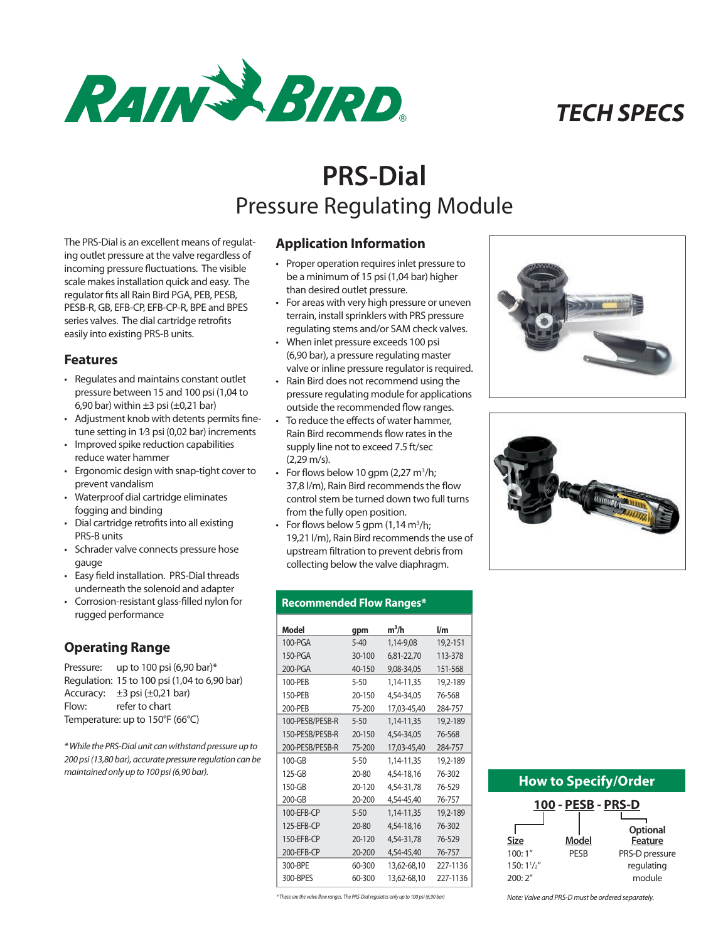

# *TECH SPECS*

# **PRS-Dial** Pressure Regulating Module

The PRS-Dial is an excellent means of regulating outlet pressure at the valve regardless of incoming pressure fluctuations. The visible scale makes installation quick and easy. The regulator fits all Rain Bird PGA, PEB, PESB, PESB-R, GB, EFB-CP, EFB-CP-R, BPE and BPES series valves. The dial cartridge retrofits easily into existing PRS-B units.

### **Features**

- Regulates and maintains constant outlet pressure between 15 and 100 psi (1,04 to 6,90 bar) within  $\pm 3$  psi ( $\pm 0.21$  bar)
- Adjustment knob with detents permits finetune setting in 1⁄3 psi (0,02 bar) increments
- Improved spike reduction capabilities reduce water hammer
- Ergonomic design with snap-tight cover to prevent vandalism
- Waterproof dial cartridge eliminates fogging and binding
- Dial cartridge retrofits into all existing PRS-B units
- Schrader valve connects pressure hose gauge
- Easy field installation. PRS-Dial threads underneath the solenoid and adapter
- Corrosion-resistant glass-filled nylon for rugged performance

# **Operating Range**

Pressure: up to 100 psi (6,90 bar)\* Regulation: 15 to 100 psi (1,04 to 6,90 bar) Accuracy:  $\pm 3$  psi ( $\pm 0.21$  bar) Flow: refer to chart Temperature: up to 150°F (66°C)

*\* While the PRS-Dial unit can withstand pressure up to 200 psi (13,80 bar), accurate pressure regulation can be maintained only up to 100 psi (6,90 bar).*

# **Application Information**

- Proper operation requires inlet pressure to be a minimum of 15 psi (1,04 bar) higher than desired outlet pressure.
- For areas with very high pressure or uneven terrain, install sprinklers with PRS pressure regulating stems and/or SAM check valves.
- When inlet pressure exceeds 100 psi (6,90 bar), a pressure regulating master valve or inline pressure regulator is required.
- Rain Bird does not recommend using the pressure regulating module for applications outside the recommended flow ranges.
- To reduce the effects of water hammer, Rain Bird recommends flow rates in the supply line not to exceed 7.5 ft/sec (2,29 m/s).
- For flows below 10 gpm  $(2,27 \text{ m}^3/\text{h})$ ; 37,8 l/m), Rain Bird recommends the flow control stem be turned down two full turns from the fully open position.
- For flows below 5 gpm  $(1, 14 \text{ m}^3/\text{h})$ ; 19,21 l/m), Rain Bird recommends the use of upstream filtration to prevent debris from collecting below the valve diaphragm.





#### **Recommended Flow Ranges\***

| Model           | gpm        | $m^3/h$     | $\mathsf{I}/\mathsf{m}$ |
|-----------------|------------|-------------|-------------------------|
| $100-PGA$       | $5 - 40$   | 1,14-9,08   | 19,2-151                |
| 150-PGA         | 30-100     | 6,81-22,70  | 113-378                 |
| 200-PGA         | 40-150     | 9,08-34,05  | 151-568                 |
| 100-PFB         | $5 - 50$   | 1,14-11,35  | 19,2-189                |
| 150-PFR         | 20-150     | 4,54-34,05  | 76-568                  |
| 200-PEB         | 75-200     | 17,03-45,40 | 284-757                 |
| 100-PESB/PESB-R | $5 - 50$   | 1,14-11,35  | 19,2-189                |
| 150-PESB/PESB-R | 20-150     | 4,54-34,05  | 76-568                  |
| 200-PESB/PESB-R | 75-200     | 17,03-45,40 | 284-757                 |
| $100 - GB$      | $5 - 50$   | 1,14-11,35  | 19,2-189                |
| 125-GB          | $20 - 80$  | 4,54-18,16  | 76-302                  |
| 150-GB          | 20-120     | 4,54-31,78  | 76-529                  |
| 200-GB          | 20-200     | 4,54-45,40  | 76-757                  |
| 100-FFB-CP      | $5 - 50$   | 1,14-11,35  | 19,2-189                |
| $125-FFR-CP$    | $20 - 80$  | 4,54-18,16  | 76-302                  |
| 150-FFR-CP      | 20-120     | 4,54-31,78  | 76-529                  |
| 200-EFB-CP      | $20 - 200$ | 4,54-45,40  | 76-757                  |
| 300-BPE         | 60-300     | 13,62-68,10 | 227-1136                |
| 300-BPFS        | 60-300     | 13,62-68,10 | 227-1136                |
|                 |            |             |                         |

## **How to Specify/Order**

| 100 - PESB - PRS-D |             |                |  |  |  |  |  |
|--------------------|-------------|----------------|--|--|--|--|--|
|                    |             |                |  |  |  |  |  |
|                    |             | Optional       |  |  |  |  |  |
| Size               | Model       | Feature        |  |  |  |  |  |
| 100:1"             | <b>PFSB</b> | PRS-D pressure |  |  |  |  |  |
| $150:1^{1}/2''$    |             | regulating     |  |  |  |  |  |
| 200:2"             |             | module         |  |  |  |  |  |

*\* These are the valve flow ranges. The PRS-Dial regulates only up to 100 psi (6,90 bar)*

*Note: Valve and PRS-D must be ordered separately.*